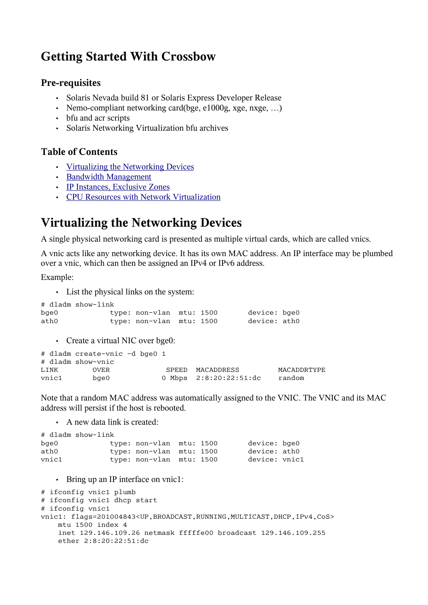# **Getting Started With Crossbow**

#### **Pre-requisites**

- Solaris Nevada build 81 or Solaris Express Developer Release
- Nemo-compliant networking card(bge, e1000g, xge, nxge, ...)
- bfu and acr scripts
- Solaris Networking Virtualization bfu archives

### **Table of Contents**

- • [Virtualizing the Networking Devices](http://www.opensolaris.org/os/project/crossbow/Docs/getting-started/#Virtualizing_the_Networking_Devices)
- [Bandwidth Management](http://www.opensolaris.org/os/project/crossbow/Docs/getting-started/#Bandwidth_Management)
- [IP Instances, Exclusive Zones](http://www.opensolaris.org/os/project/crossbow/Docs/getting-started/#IP_Instances_and_Exclusive_Zones)
- [CPU Resources with Network Virtualization](http://www.opensolaris.org/os/project/crossbow/Docs/getting-started/#CPU_Resources_with_Network_Virtualization)

## **Virtualizing the Networking Devices**

A single physical networking card is presented as multiple virtual cards, which are called vnics.

A vnic acts like any networking device. It has its own MAC address. An IP interface may be plumbed over a vnic, which can then be assigned an IPv4 or IPv6 address.

Example:

• List the physical links on the system:

```
# dladm show-link
bge0 type: non-vlan mtu: 1500 device: bge0<br>ath0 type: non-vlan mtu: 1500 device: ath0
                  type: non-vlan mtu: 1500 device: ath0
```
• Create a virtual NIC over bge0:

|       | # dladm create-vnic -d bge0 1 |  |       |                        |             |
|-------|-------------------------------|--|-------|------------------------|-------------|
|       | # dladm show-vnic             |  |       |                        |             |
| LINK  | OVER                          |  | SPEED | MACADDRESS             | MACADDRTYPE |
| vnic1 | bae0                          |  |       | 0 Mbps 2:8:20:22:51:dc | random      |

Note that a random MAC address was automatically assigned to the VNIC. The VNIC and its MAC address will persist if the host is rebooted.

• A new data link is created:

|            | # dladm show-link |                          |  |               |
|------------|-------------------|--------------------------|--|---------------|
| $b$ qe $0$ |                   | type: non-vlan mtu: 1500 |  | device: bge0  |
| ath0       |                   | type: non-vlan mtu: 1500 |  | device: ath0  |
| vnic1      |                   | type: non-vlan mtu: 1500 |  | device: vnic1 |

• Bring up an IP interface on vnic1:

```
# ifconfig vnic1 plumb
# ifconfig vnic1 dhcp start
# ifconfig vnic1
vnic1: flags=201004843<UP,BROADCAST,RUNNING,MULTICAST,DHCP,IPv4,CoS>
    mtu 1500 index 4
     inet 129.146.109.26 netmask fffffe00 broadcast 129.146.109.255
    ether 2:8:20:22:51:dc
```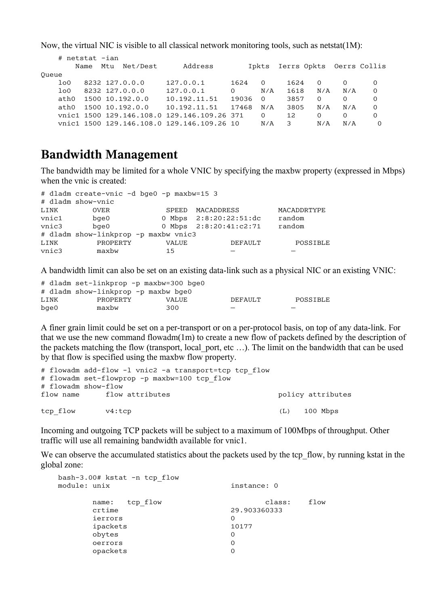Now, the virtual NIC is visible to all classical network monitoring tools, such as netstat(1M):

|       | # netstat -ian |                |                 |                                             |          |          |      |                                |          |          |
|-------|----------------|----------------|-----------------|---------------------------------------------|----------|----------|------|--------------------------------|----------|----------|
|       | Name           | Mtu            | Net/Dest        | Address                                     |          |          |      | Ipkts Ierrs Opkts Oerrs Collis |          |          |
| Oueue |                |                |                 |                                             |          |          |      |                                |          |          |
| 100   |                | 8232 127.0.0.0 |                 | 127.0.0.1                                   | 1624     | $\Omega$ | 1624 | $\Omega$                       |          | $\Omega$ |
| 1 o 0 |                | 8232 127.0.0.0 |                 | 127.0.0.1                                   | $\Omega$ | N/A      | 1618 | N/A                            | N/A      | $\Omega$ |
| ath0  |                |                | 1500 10.192.0.0 | 10.192.11.51                                | 19036    | $\Omega$ | 3857 | $\Omega$                       | $\Omega$ | $\Omega$ |
| ath0  |                |                | 1500 10.192.0.0 | 10.192.11.51                                | 17468    | N/A      | 3805 | N/A                            | N/A      | $\Omega$ |
|       |                |                |                 | vnic1 1500 129.146.108.0 129.146.109.26 371 |          | $\Omega$ | 12   | $\Omega$                       | 0        | Ω        |
|       |                |                |                 | vnic1 1500 129.146.108.0 129.146.109.26 10  |          | N/A      | 3    | N/A                            | N/A      | O        |

## **Bandwidth Management**

The bandwidth may be limited for a whole VNIC by specifying the maxbw property (expressed in Mbps) when the vnic is created:

|       | # dladm create-vnic -d bge0 -p maxbw=15 3 |              |                          |             |
|-------|-------------------------------------------|--------------|--------------------------|-------------|
|       | # dladm show-vnic                         |              |                          |             |
| LINK  | <b>OVER</b>                               |              | SPEED MACADDRESS         | MACADDRTYPE |
| vnic1 | bge0                                      |              | 0 Mbps $2:8:20:22:51:dc$ | random      |
| vnic3 | $b$ qe $0$                                |              | 0 Mbps 2:8:20:41:c2:71   | random      |
|       | # dladm show-linkprop -p maxbw vnic3      |              |                          |             |
| LINK  | PROPERTY                                  | <b>VALUE</b> | <b>DEFAULT</b>           | POSSIBLE    |
| vnic3 | maxbw                                     | 15           |                          |             |

A bandwidth limit can also be set on an existing data-link such as a physical NIC or an existing VNIC:

|            | # dladm set-linkprop -p maxbw=300 bge0 |              |                          |          |
|------------|----------------------------------------|--------------|--------------------------|----------|
|            | # dladm show-linkprop -p maxbw bge0    |              |                          |          |
| LINK       | PROPERTY                               | <b>VALUE</b> | DEFAULT                  | POSSIBLE |
| $b$ qe $0$ | maxbw                                  | 300          | $\overline{\phantom{0}}$ |          |

A finer grain limit could be set on a per-transport or on a per-protocol basis, on top of any data-link. For that we use the new command flowadm(1m) to create a new flow of packets defined by the description of the packets matching the flow (transport, local port, etc ...). The limit on the bandwidth that can be used by that flow is specified using the maxbw flow property.

```
# flowadm add-flow -1 vnic2 -a transport=tcp tcp flow
# flowadm set-flowprop -p maxbw=100 tcp flow
# flowadm show-flow
flow name flow attributes the policy attributes
tcp flow v4:tcp (L) 100 Mbps
```
Incoming and outgoing TCP packets will be subject to a maximum of 100Mbps of throughput. Other traffic will use all remaining bandwidth available for vnic1.

We can observe the accumulated statistics about the packets used by the tcp flow, by running kstat in the global zone:

| $bash-3.00# kstat -n \text{top flow}$<br>module: unix | instance: 0  |      |
|-------------------------------------------------------|--------------|------|
| tcp flow<br>name:                                     | class:       | flow |
| crtime                                                | 29.903360333 |      |
| ierrors                                               | 0            |      |
| ipackets                                              | 10177        |      |
| obytes                                                | O            |      |
| oerrors                                               | 0            |      |
| opackets                                              | 0            |      |
|                                                       |              |      |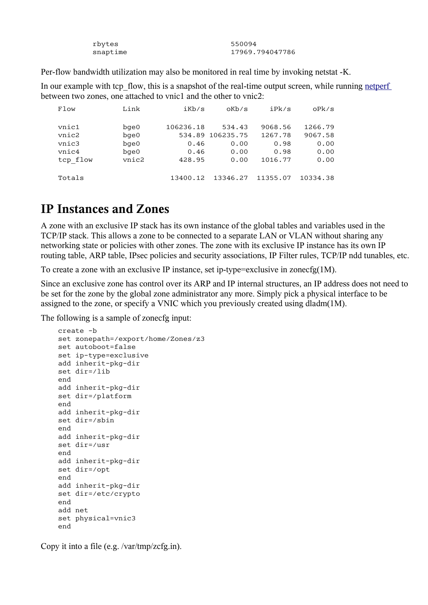| rbytes   | 550094          |
|----------|-----------------|
| snaptime | 17969.794047786 |

Per-flow bandwidth utilization may also be monitored in real time by invoking netstat -K.

In our example with tcp flow, this is a snapshot of the real-time output screen, while running [netperf](http://www.freebsd.org/projects/netperf/index.html) between two zones, one attached to vnic1 and the other to vnic2:

| Flow     | Link       | iKb/s     | oKb/s            | iPk/s    | oPk/s    |
|----------|------------|-----------|------------------|----------|----------|
| vnic1    |            |           |                  |          | 1266.79  |
|          | $b$ ge $0$ | 106236.18 | 534.43           | 9068.56  |          |
| vnic2    | $b$ ge $0$ |           | 534.89 106235.75 | 1267.78  | 9067.58  |
| vnic3    | $b$ qe $0$ | 0.46      | 0.00             | 0.98     | 0.00     |
| vnic4    | $b$ ge $0$ | 0.46      | 0.00             | 0.98     | 0.00     |
| tcp flow | vnic2      | 428.95    | 0.00             | 1016.77  | 0.00     |
|          |            |           |                  |          |          |
| Totals   |            | 13400.12  | 13346.27         | 11355.07 | 10334.38 |

## **IP Instances and Zones**

A zone with an exclusive IP stack has its own instance of the global tables and variables used in the TCP/IP stack. This allows a zone to be connected to a separate LAN or VLAN without sharing any networking state or policies with other zones. The zone with its exclusive IP instance has its own IP routing table, ARP table, IPsec policies and security associations, IP Filter rules, TCP/IP ndd tunables, etc.

To create a zone with an exclusive IP instance, set ip-type=exclusive in zonecfg $(1M)$ .

Since an exclusive zone has control over its ARP and IP internal structures, an IP address does not need to be set for the zone by the global zone administrator any more. Simply pick a physical interface to be assigned to the zone, or specify a VNIC which you previously created using dladm(1M).

The following is a sample of zonecfg input:

```
 create -b
 set zonepath=/export/home/Zones/z3
 set autoboot=false
 set ip-type=exclusive
 add inherit-pkg-dir
 set dir=/lib
 end
 add inherit-pkg-dir
 set dir=/platform
 end
 add inherit-pkg-dir
 set dir=/sbin
 end
 add inherit-pkg-dir
 set dir=/usr
 end
 add inherit-pkg-dir
 set dir=/opt
 end
 add inherit-pkg-dir
 set dir=/etc/crypto
 end
 add net
 set physical=vnic3
 end
```
Copy it into a file (e.g. /var/tmp/zcfg.in).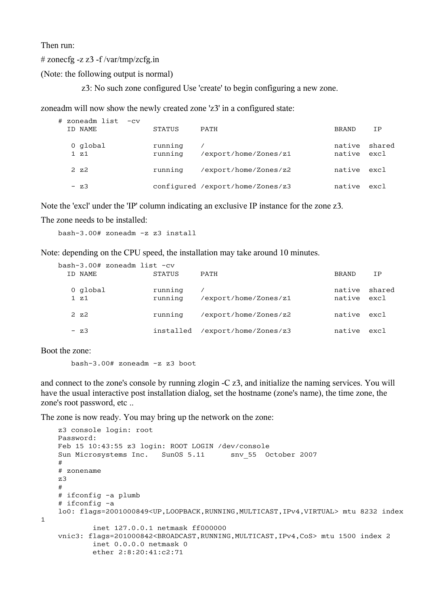Then run:

 $\#$  zonecfg -z z3 -f/var/tmp/zcfg.in

(Note: the following output is normal)

z3: No such zone configured Use 'create' to begin configuring a new zone.

zoneadm will now show the newly created zone 'z3' in a configured state:

| # zoneadm list -cv<br>ID NAME | <b>STATUS</b>      | PATH                             | <b>BRAND</b>          | ΙP     |
|-------------------------------|--------------------|----------------------------------|-----------------------|--------|
| 0 global<br>$1\,z1$           | running<br>running | /export/home/Zones/z1            | native<br>native excl | shared |
| $2 \, z2$                     | running            | /export/home/Zones/z2            | native                | excl   |
| $- z3$                        |                    | configured /export/home/Zones/z3 | native                | exc1   |

Note the 'excl' under the 'IP' column indicating an exclusive IP instance for the zone z3.

The zone needs to be installed:

bash-3.00# zoneadm -z z3 install

Note: depending on the CPU speed, the installation may take around 10 minutes.

| $bash-3.00# zoneadm list -cv$ |                    |                       |                       |        |
|-------------------------------|--------------------|-----------------------|-----------------------|--------|
| ID NAME                       | <b>STATUS</b>      | PATH                  | <b>BRAND</b>          | ΙP     |
| 0 global<br>$1\,z1$           | running<br>running | /export/home/Zones/z1 | native<br>native excl | shared |
| $2 \, z2$                     | running            | /export/home/Zones/z2 | native                | excl   |
| $- z3$                        | installed          | /export/home/Zones/z3 | native                | excl   |

Boot the zone:

bash-3.00# zoneadm -z z3 boot

and connect to the zone's console by running zlogin -C z3, and initialize the naming services. You will have the usual interactive post installation dialog, set the hostname (zone's name), the time zone, the zone's root password, etc ..

The zone is now ready. You may bring up the network on the zone:

```
 z3 console login: root
    Password: 
    Feb 15 10:43:55 z3 login: ROOT LOGIN /dev/console
   Sun Microsystems Inc. SunOS 5.11 snv 55 October 2007
 #
    # zonename
    z3
    #
    # ifconfig -a plumb
    # ifconfig -a
    lo0: flags=2001000849<UP,LOOPBACK,RUNNING,MULTICAST,IPv4,VIRTUAL> mtu 8232 index
1
             inet 127.0.0.1 netmask ff000000 
    vnic3: flags=201000842<BROADCAST,RUNNING,MULTICAST,IPv4,CoS> mtu 1500 index 2
             inet 0.0.0.0 netmask 0 
             ether 2:8:20:41:c2:71
```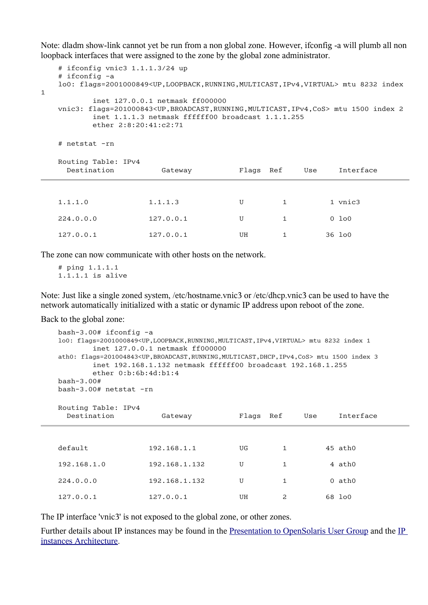Note: dladm show-link cannot yet be run from a non global zone. However, ifconfig -a will plumb all non loopback interfaces that were assigned to the zone by the global zone administrator.

```
 # ifconfig vnic3 1.1.1.3/24 up
    # ifconfig -a
    lo0: flags=2001000849<UP,LOOPBACK,RUNNING,MULTICAST,IPv4,VIRTUAL> mtu 8232 index
1
            inet 127.0.0.1 netmask ff000000 
    vnic3: flags=201000843<UP,BROADCAST,RUNNING,MULTICAST,IPv4,CoS> mtu 1500 index 2
            inet 1.1.1.3 netmask ffffff00 broadcast 1.1.1.255
           ether 2:8:20:41:c2:71
    # netstat -rn
   Routing Table: IPv4<br>Destination
                         Gateway Flags Ref Use Interface
1.1.1.0 1.1.1.3 U 1 1 vnic3
```
127.0.0.1 127.0.0.1 UH 1 36 lo0

224.0.0.0 127.0.0.1 U 1 0 lo0

The zone can now communicate with other hosts on the network.

 # ping 1.1.1.1 1.1.1.1 is alive

Note: Just like a single zoned system, /etc/hostname.vnic3 or /etc/dhcp.vnic3 can be used to have the network automatically initialized with a static or dynamic IP address upon reboot of the zone.

Back to the global zone:

```
 bash-3.00# ifconfig -a
 lo0: flags=2001000849<UP,LOOPBACK,RUNNING,MULTICAST,IPv4,VIRTUAL> mtu 8232 index 1
       inet 127.0.0.1 netmask ff000000 
 ath0: flags=201004843<UP,BROADCAST,RUNNING,MULTICAST,DHCP,IPv4,CoS> mtu 1500 index 3
       inet 192.168.1.132 netmask ffffff00 broadcast 192.168.1.255
       ether 0:b:6b:4d:b1:4 
 bash-3.00# 
 bash-3.00# netstat -rn
 Routing Table: IPv4
  Destination Gateway Flags Ref Use Interface 
default 192.168.1.1 UG 1 45 ath0
192.168.1.0 192.168.1.132 U 1 4 ath0
224.0.0.0 192.168.1.132 U 1 0 ath0
```
The IP interface 'vnic3' is not exposed to the global zone, or other zones.

Further details about IP instances may be found in the [Presentation to OpenSolaris User Group](http://www.opensolaris.org/os/project/crossbow/Docs/ipinstances-sug1.pdf) and the [IP](http://www.opensolaris.org/os/project/crossbow/Docs/si-interfaces.pdf) [instances Architecture.](http://www.opensolaris.org/os/project/crossbow/Docs/si-interfaces.pdf)

127.0.0.1 127.0.0.1 UH 2 68 lo0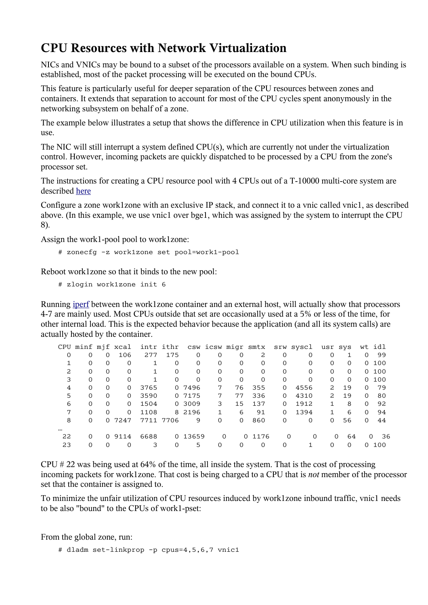# **CPU Resources with Network Virtualization**

NICs and VNICs may be bound to a subset of the processors available on a system. When such binding is established, most of the packet processing will be executed on the bound CPUs.

This feature is particularly useful for deeper separation of the CPU resources between zones and containers. It extends that separation to account for most of the CPU cycles spent anonymously in the networking subsystem on behalf of a zone.

The example below illustrates a setup that shows the difference in CPU utilization when this feature is in use.

The NIC will still interrupt a system defined CPU(s), which are currently not under the virtualization control. However, incoming packets are quickly dispatched to be processed by a CPU from the zone's processor set.

The instructions for creating a CPU resource pool with 4 CPUs out of a T-10000 multi-core system are described [here](http://www.opensolaris.org/os/project/crossbow/CrossbowBeta/FeaturesOverview/PoolSetup.txt)

Configure a zone work1zone with an exclusive IP stack, and connect it to a vnic called vnic1, as described above. (In this example, we use vnic1 over bge1, which was assigned by the system to interrupt the CPU 8).

Assign the work1-pool pool to work1zone:

```
 # zonecfg -z work1zone set pool=work1-pool
```
Reboot work1zone so that it binds to the new pool:

# zlogin work1zone init 6

Running [iperf](http://sourceforge.net/projects/iperf) between the work1zone container and an external host, will actually show that processors 4-7 are mainly used. Most CPUs outside that set are occasionally used at a 5% or less of the time, for other internal load. This is the expected behavior because the application (and all its system calls) are actually hosted by the container.

|          |          |          |          | CPU minf mjf xcal intr ithr csw icsw migr smtx |          |          |          |          |          |          | srw syscl | usr sys      |          |          | wt idl          |
|----------|----------|----------|----------|------------------------------------------------|----------|----------|----------|----------|----------|----------|-----------|--------------|----------|----------|-----------------|
| $\Omega$ | $\Omega$ | 0        | 106      | 277                                            | 175      | $\Omega$ | $\Omega$ |          | 2        | 0        | $\Omega$  | $\Omega$     |          | $\Omega$ | 99              |
|          | $\Omega$ | $\Omega$ | $\Omega$ | $\mathbf{1}$                                   | $\Omega$ | $\Omega$ | $\Omega$ | $\Omega$ | $\Omega$ | $\Omega$ | $\Omega$  | $\Omega$     | $\Omega$ |          | 0 100           |
| 2        | $\Omega$ | $\Omega$ | $\Omega$ |                                                | $\Omega$ | $\Omega$ | $\Omega$ | $\Omega$ | $\Omega$ | $\Omega$ | $\Omega$  | $\Omega$     | $\Omega$ |          | 0, 100          |
| 3        | 0        | $\Omega$ | $\Omega$ |                                                | $\Omega$ | $\Omega$ | $\Omega$ | $\Omega$ | $\Omega$ | $\Omega$ | $\Omega$  | $\Omega$     | $\Omega$ |          | 0, 100          |
| 4        | 0        | $\Omega$ | $\Omega$ | 3765                                           |          | 0 7496   | 7        | 76       | 355      | 0        | 4556      | 2            | 19       | $\Omega$ | 79              |
| 5        | 0        | $\Omega$ | $\Omega$ | 3590                                           |          | 0 7175   | 7        | 77       | 336      | 0        | 4310      | 2            | 19       | $\Omega$ | 80              |
| 6        | $\Omega$ | $\Omega$ | $\Omega$ | 1504                                           |          | 0 3009   | 3        | 15       | 137      | 0        | 1912      | $\mathbf{1}$ | 8        | $\Omega$ | 92              |
| 7        | $\Omega$ | $\Omega$ | $\Omega$ | 1108                                           |          | 8 2196   | 1        | 6        | 91       | 0        | 1394      | 1            | 6        | $\Omega$ | 94              |
| 8        | $\Omega$ | $\Omega$ | 7247     | 7711 7706                                      |          | 9        | $\Omega$ | $\Omega$ | 860      | $\Omega$ | $\Omega$  | $\Omega$     | 56       | $\Omega$ | 44              |
|          |          |          |          |                                                |          |          |          |          |          |          |           |              |          |          |                 |
| 22       | $\Omega$ |          | 0 9114   | 6688                                           |          | 0 13659  |          | $\Omega$ | 0 1176   | $\Omega$ | $\Omega$  | $\Omega$     | 64       |          | -36<br>$\Omega$ |
| 23       | 0        | $\Omega$ | $\Omega$ | 3                                              | 0        | 5        | 0        |          | 0        | 0        |           | $\Omega$     | $\Omega$ |          | .00             |
|          |          |          |          |                                                |          |          |          |          |          |          |           |              |          |          |                 |

CPU # 22 was being used at 64% of the time, all inside the system. That is the cost of processing incoming packets for work1zone. That cost is being charged to a CPU that is *not* member of the processor set that the container is assigned to.

To minimize the unfair utilization of CPU resources induced by work1zone inbound traffic, vnic1 needs to be also "bound" to the CPUs of work1-pset:

From the global zone, run:

```
 # dladm set-linkprop -p cpus=4,5,6,7 vnic1
```